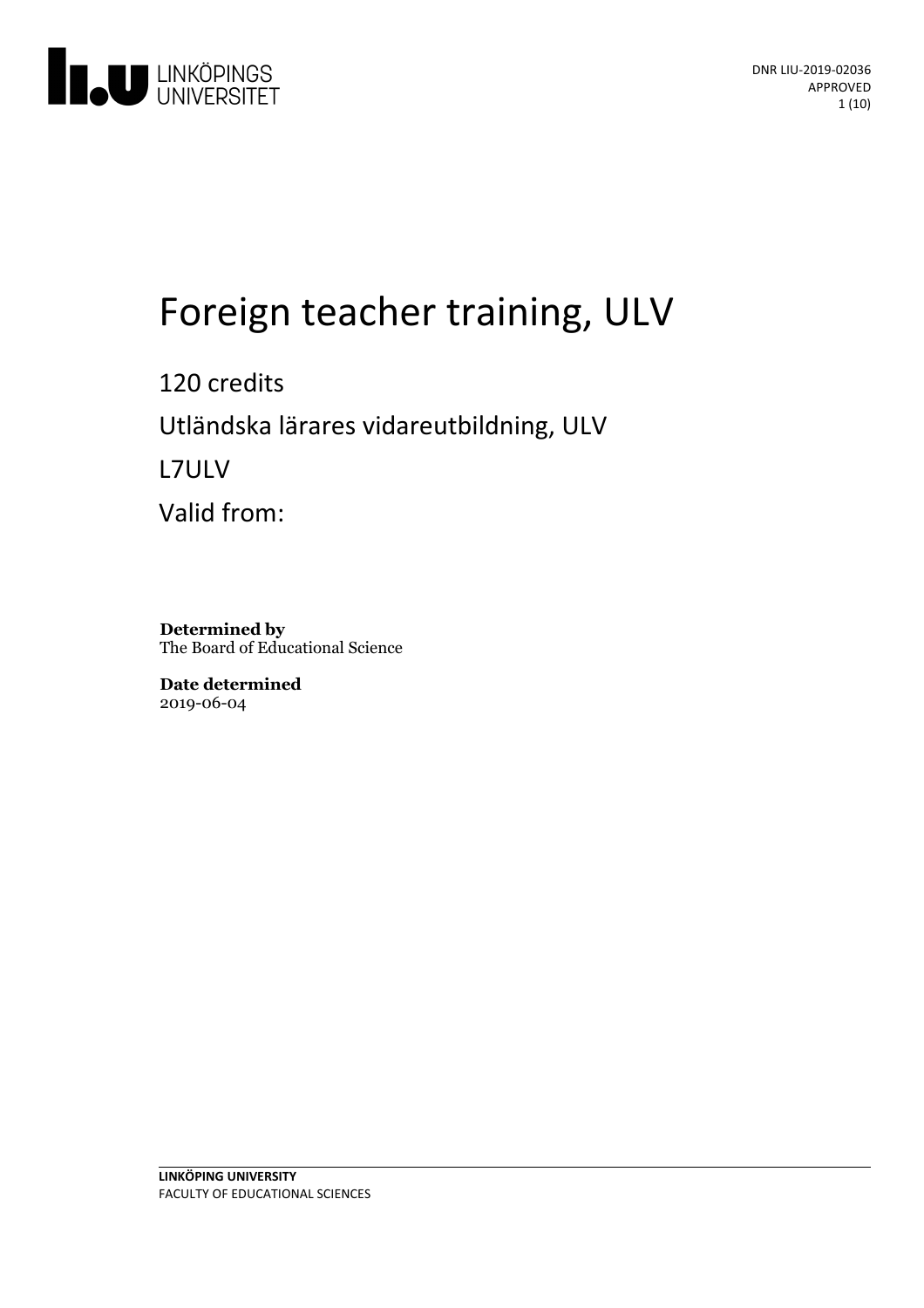

# Foreign teacher training, ULV

120 credits Utländskalärares vidareutbildning, ULV L7ULV Valid from:

**Determined by** The Board of Educational Science

**Date determined** 2019-06-04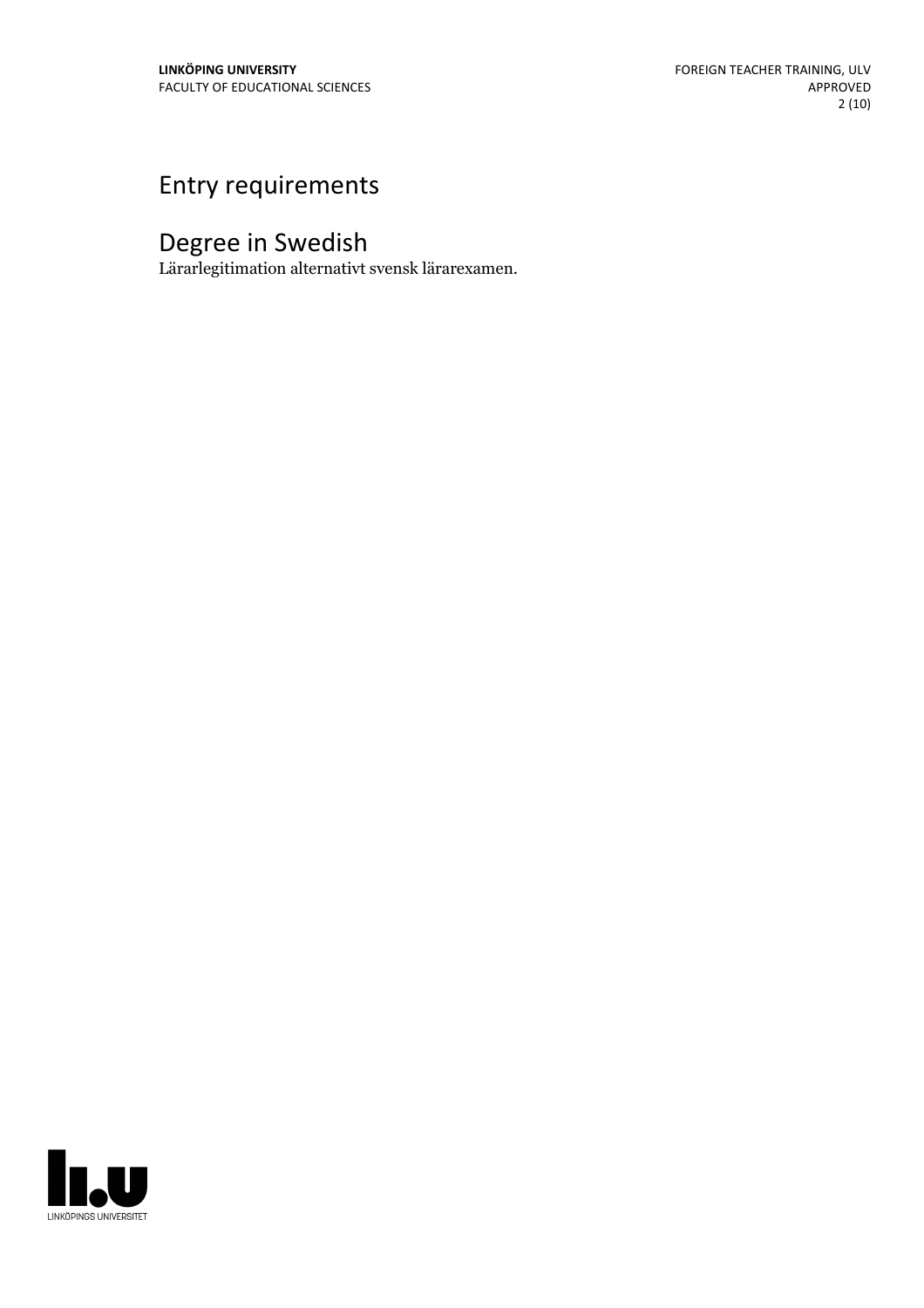# Entry requirements

# Degree in Swedish

Lärarlegitimation alternativt svensk lärarexamen.

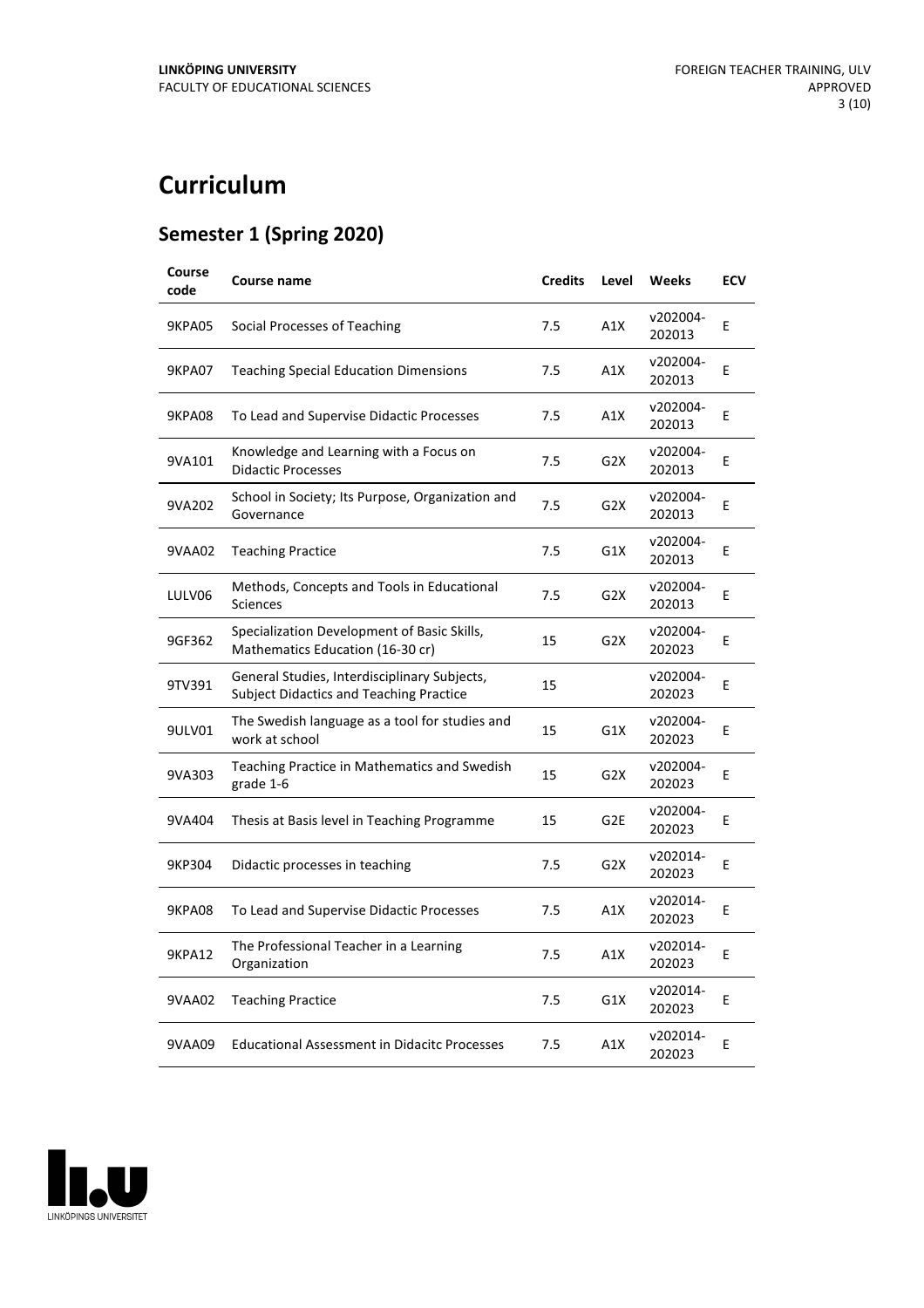# **Curriculum**

#### **Semester 1 (Spring 2020)**

| Course<br>code | Course name                                                                                    | <b>Credits</b> | Level            | <b>Weeks</b>       | <b>ECV</b> |
|----------------|------------------------------------------------------------------------------------------------|----------------|------------------|--------------------|------------|
| <b>9KPA05</b>  | Social Processes of Teaching                                                                   | 7.5            | A1X              | v202004-<br>202013 | E          |
| <b>9KPA07</b>  | <b>Teaching Special Education Dimensions</b>                                                   | 7.5            | A1X              | v202004-<br>202013 | E          |
| 9KPA08         | To Lead and Supervise Didactic Processes                                                       | 7.5            | A1X              | v202004-<br>202013 | E          |
| 9VA101         | Knowledge and Learning with a Focus on<br><b>Didactic Processes</b>                            | 7.5            | G <sub>2</sub> X | v202004-<br>202013 | E          |
| 9VA202         | School in Society; Its Purpose, Organization and<br>Governance                                 | 7.5            | G <sub>2</sub> X | v202004-<br>202013 | E          |
| 9VAA02         | <b>Teaching Practice</b>                                                                       | 7.5            | G1X              | v202004-<br>202013 | E          |
| LULV06         | Methods, Concepts and Tools in Educational<br><b>Sciences</b>                                  | 7.5            | G <sub>2</sub> X | v202004-<br>202013 | E          |
| 9GF362         | Specialization Development of Basic Skills,<br>Mathematics Education (16-30 cr)                | 15             | G2X              | v202004-<br>202023 | E          |
| 9TV391         | General Studies, Interdisciplinary Subjects,<br><b>Subject Didactics and Teaching Practice</b> | 15             |                  | v202004-<br>202023 | E          |
| 9ULV01         | The Swedish language as a tool for studies and<br>work at school                               | 15             | G1X              | v202004-<br>202023 | E          |
| 9VA303         | Teaching Practice in Mathematics and Swedish<br>grade 1-6                                      | 15             | G <sub>2</sub> X | v202004-<br>202023 | Е          |
| 9VA404         | Thesis at Basis level in Teaching Programme                                                    | 15             | G <sub>2E</sub>  | v202004-<br>202023 | Е          |
| 9KP304         | Didactic processes in teaching                                                                 | 7.5            | G <sub>2</sub> X | v202014-<br>202023 | E          |
| <b>9KPA08</b>  | To Lead and Supervise Didactic Processes                                                       | 7.5            | A1X              | v202014-<br>202023 | E          |
| <b>9KPA12</b>  | The Professional Teacher in a Learning<br>Organization                                         | 7.5            | A1X              | v202014-<br>202023 | E          |
| 9VAA02         | <b>Teaching Practice</b>                                                                       | 7.5            | G1X              | v202014-<br>202023 | Е          |
| 9VAA09         | <b>Educational Assessment in Didacitc Processes</b>                                            | 7.5            | A1X              | v202014-<br>202023 | E          |

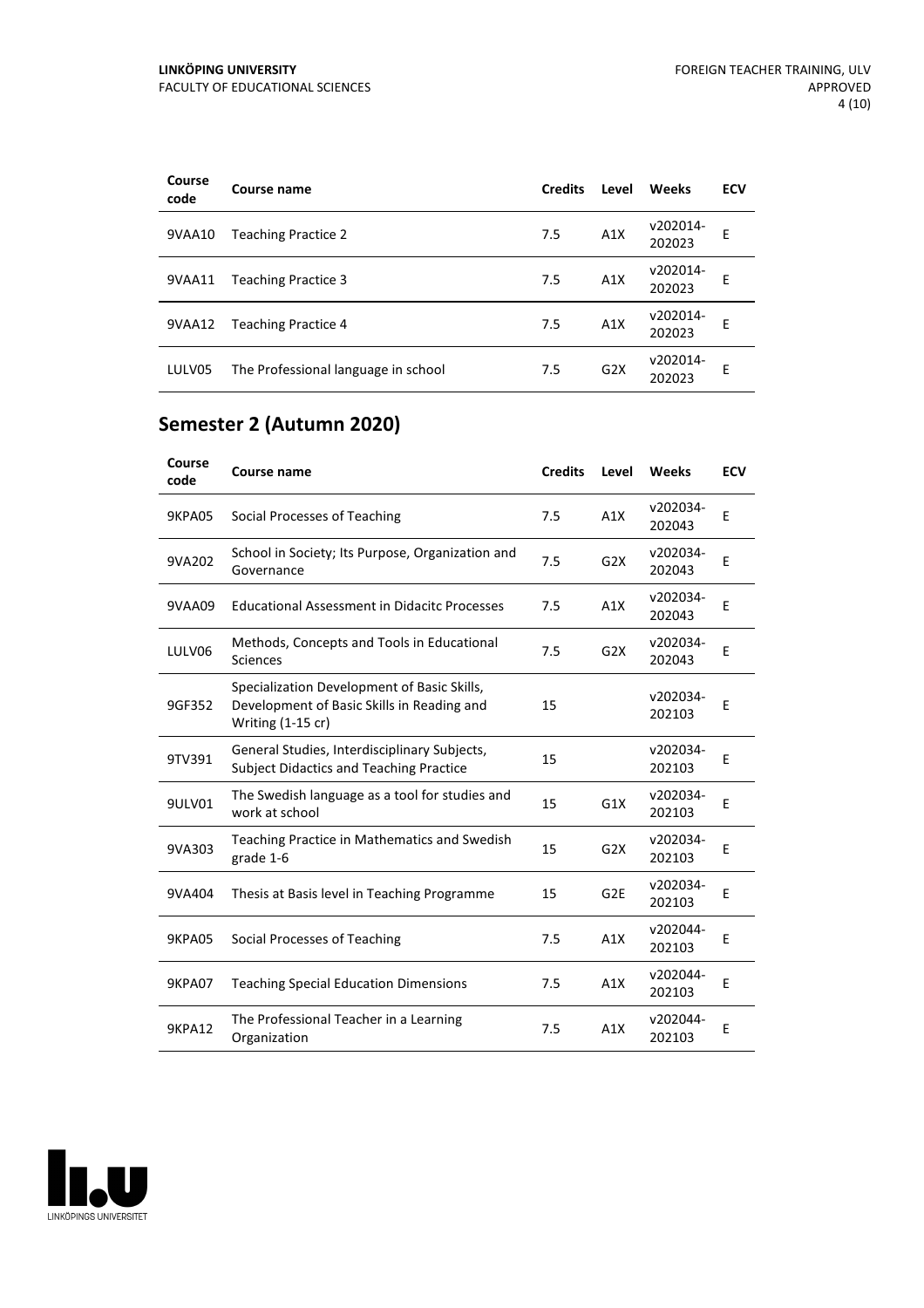| Course<br>code | Course name                         | <b>Credits</b> | Level | Weeks              | <b>ECV</b> |
|----------------|-------------------------------------|----------------|-------|--------------------|------------|
| 9VAA10         | <b>Teaching Practice 2</b>          | 7.5            | A1X   | v202014-<br>202023 | E          |
| 9VAA11         | <b>Teaching Practice 3</b>          | 7.5            | A1X   | v202014-<br>202023 | E          |
| 9VAA12         | <b>Teaching Practice 4</b>          | 7.5            | A1X   | v202014-<br>202023 | F          |
| LULV05         | The Professional language in school | 7.5            | G2X   | v202014-<br>202023 | E          |

## **Semester 2 (Autumn 2020)**

| Course<br>code | <b>Course name</b>                                                                                             | <b>Credits</b> | Level           | Weeks              | <b>ECV</b> |
|----------------|----------------------------------------------------------------------------------------------------------------|----------------|-----------------|--------------------|------------|
| 9KPA05         | Social Processes of Teaching                                                                                   | 7.5            | A1X             | v202034-<br>202043 | E          |
| 9VA202         | School in Society; Its Purpose, Organization and<br>Governance                                                 | 7.5            | G2X             | v202034-<br>202043 | E          |
| 9VAA09         | <b>Educational Assessment in Didacitc Processes</b>                                                            | 7.5            | A1X             | v202034-<br>202043 | E          |
| LULV06         | Methods, Concepts and Tools in Educational<br>Sciences                                                         | 7.5            | G2X             | v202034-<br>202043 | E          |
| 9GF352         | Specialization Development of Basic Skills,<br>Development of Basic Skills in Reading and<br>Writing (1-15 cr) | 15             |                 | v202034-<br>202103 | E          |
| 9TV391         | General Studies, Interdisciplinary Subjects,<br><b>Subject Didactics and Teaching Practice</b>                 | 15             |                 | v202034-<br>202103 | E          |
| 9ULV01         | The Swedish language as a tool for studies and<br>work at school                                               | 15             | G1X             | v202034-<br>202103 | E          |
| 9VA303         | Teaching Practice in Mathematics and Swedish<br>grade 1-6                                                      | 15             | G2X             | v202034-<br>202103 | E          |
| 9VA404         | Thesis at Basis level in Teaching Programme                                                                    | 15             | G <sub>2E</sub> | v202034-<br>202103 | E          |
| 9KPA05         | Social Processes of Teaching                                                                                   | 7.5            | A1X             | v202044-<br>202103 | E          |
| <b>9KPA07</b>  | <b>Teaching Special Education Dimensions</b>                                                                   | 7.5            | A1X             | v202044-<br>202103 | E          |
| <b>9KPA12</b>  | The Professional Teacher in a Learning<br>Organization                                                         | 7.5            | A1X             | v202044-<br>202103 | E          |

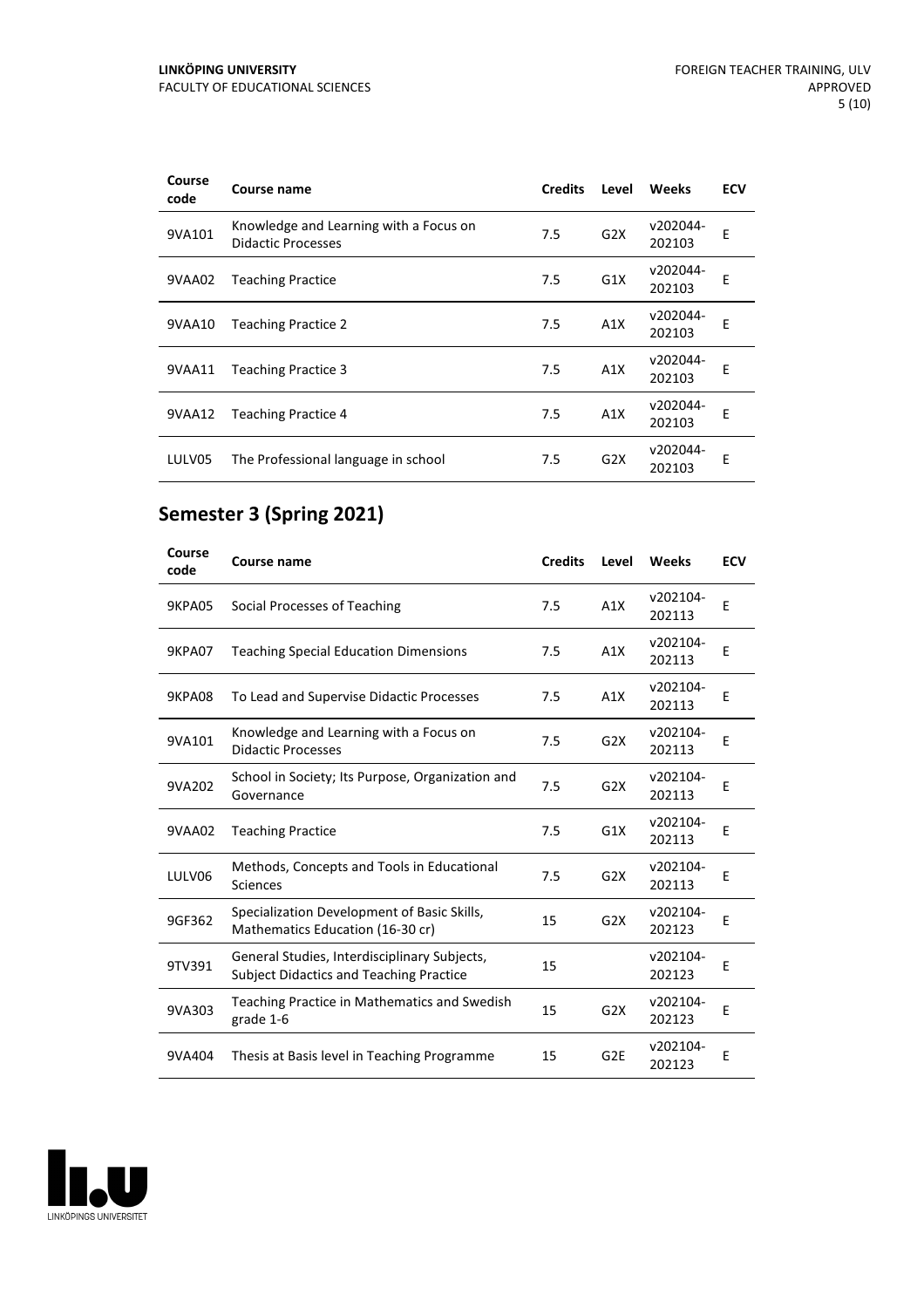| Course<br>code | Course name                                                         | <b>Credits</b> | Level | Weeks              | <b>ECV</b> |
|----------------|---------------------------------------------------------------------|----------------|-------|--------------------|------------|
| 9VA101         | Knowledge and Learning with a Focus on<br><b>Didactic Processes</b> | 7.5            | G2X   | v202044-<br>202103 | E          |
| 9VAA02         | <b>Teaching Practice</b>                                            | 7.5            | G1X   | v202044-<br>202103 | E          |
| 9VAA10         | <b>Teaching Practice 2</b>                                          | 7.5            | A1X   | v202044-<br>202103 | E          |
| 9VAA11         | <b>Teaching Practice 3</b>                                          | 7.5            | A1X   | v202044-<br>202103 | F          |
| 9VAA12         | <b>Teaching Practice 4</b>                                          | 7.5            | A1X   | v202044-<br>202103 | E          |
| LULV05         | The Professional language in school                                 | 7.5            | G2X   | v202044-<br>202103 | E          |

## **Semester 3 (Spring 2021)**

| Course<br>code | <b>Course name</b>                                                                             | <b>Credits</b> | Level            | Weeks              | <b>ECV</b> |
|----------------|------------------------------------------------------------------------------------------------|----------------|------------------|--------------------|------------|
| 9KPA05         | Social Processes of Teaching                                                                   | 7.5            | A1X              | v202104-<br>202113 | E          |
| 9KPA07         | <b>Teaching Special Education Dimensions</b>                                                   | 7.5            | A1X              | v202104-<br>202113 | E          |
| 9KPA08         | To Lead and Supervise Didactic Processes                                                       | 7.5            | A1X              | v202104-<br>202113 | F          |
| 9VA101         | Knowledge and Learning with a Focus on<br><b>Didactic Processes</b>                            | 7.5            | G2X              | v202104-<br>202113 | E          |
| 9VA202         | School in Society; Its Purpose, Organization and<br>Governance                                 | 7.5            | G <sub>2</sub> X | v202104-<br>202113 | E          |
| 9VAA02         | <b>Teaching Practice</b>                                                                       | 7.5            | G1X              | v202104-<br>202113 | E          |
| LULV06         | Methods, Concepts and Tools in Educational<br><b>Sciences</b>                                  | 7.5            | G2X              | v202104-<br>202113 | E          |
| 9GF362         | Specialization Development of Basic Skills,<br>Mathematics Education (16-30 cr)                | 15             | G2X              | v202104-<br>202123 | E          |
| 9TV391         | General Studies, Interdisciplinary Subjects,<br><b>Subject Didactics and Teaching Practice</b> | 15             |                  | v202104-<br>202123 | E          |
| 9VA303         | Teaching Practice in Mathematics and Swedish<br>grade 1-6                                      | 15             | G <sub>2</sub> X | v202104-<br>202123 | E          |
| 9VA404         | Thesis at Basis level in Teaching Programme                                                    | 15             | G <sub>2E</sub>  | v202104-<br>202123 | E          |

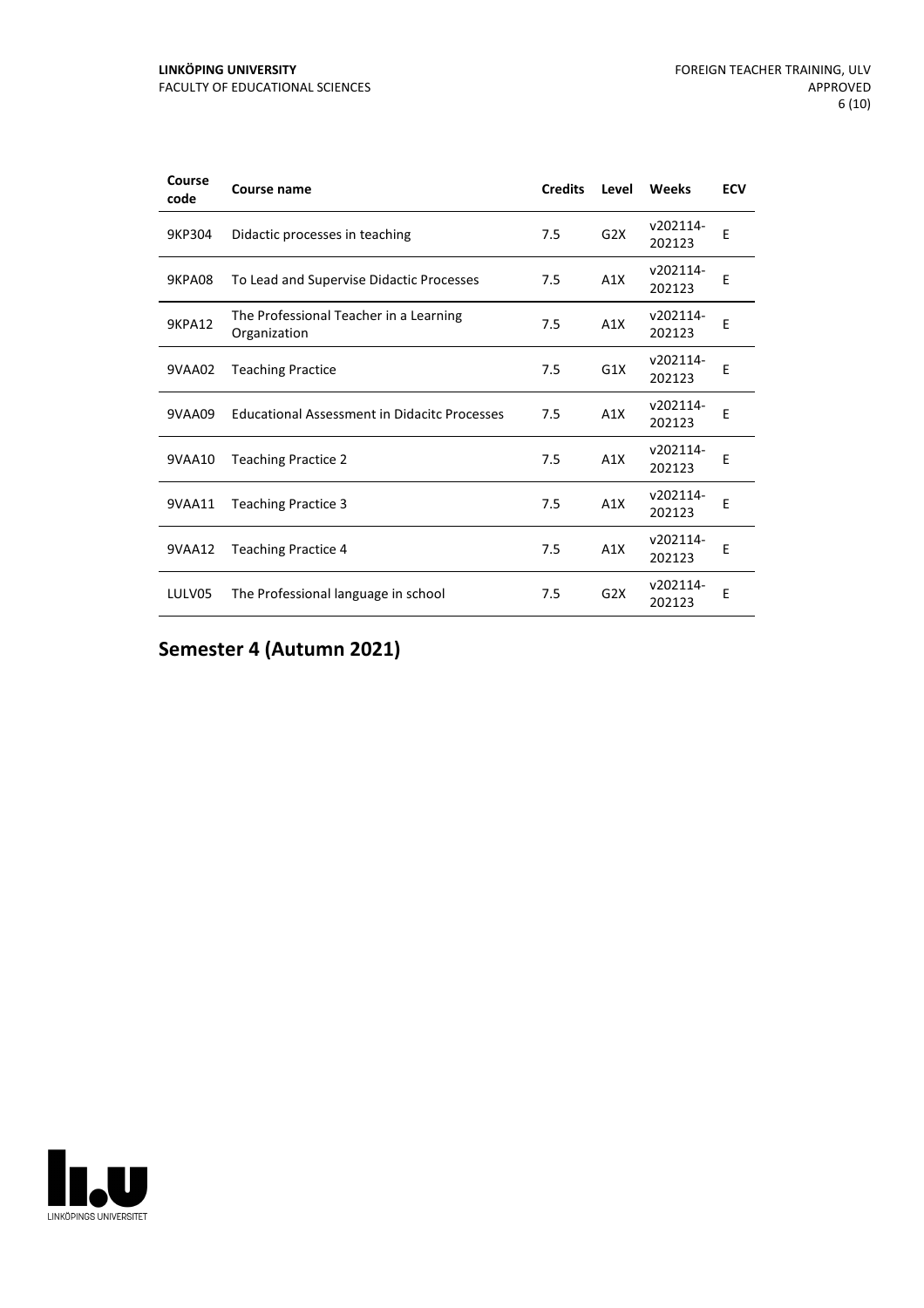| Course<br>code | Course name                                            | <b>Credits</b> | Level            | Weeks              | <b>ECV</b> |
|----------------|--------------------------------------------------------|----------------|------------------|--------------------|------------|
| 9KP304         | Didactic processes in teaching                         | 7.5            | G <sub>2</sub> X | v202114-<br>202123 | E          |
| 9KPA08         | To Lead and Supervise Didactic Processes               | 7.5            | A1X              | v202114-<br>202123 | E          |
| <b>9KPA12</b>  | The Professional Teacher in a Learning<br>Organization | 7.5            | A1X              | v202114-<br>202123 | E          |
| 9VAA02         | <b>Teaching Practice</b>                               | 7.5            | G <sub>1</sub> X | v202114-<br>202123 | E          |
| 9VAA09         | <b>Educational Assessment in Didacitc Processes</b>    | 7.5            | A1X              | v202114-<br>202123 | F          |
| 9VAA10         | <b>Teaching Practice 2</b>                             | 7.5            | A1X              | v202114-<br>202123 | Ε          |
| 9VAA11         | <b>Teaching Practice 3</b>                             | 7.5            | A1X              | v202114-<br>202123 | E          |
| 9VAA12         | <b>Teaching Practice 4</b>                             | 7.5            | A1X              | v202114-<br>202123 | E          |
| LULV05         | The Professional language in school                    | 7.5            | G <sub>2</sub> X | v202114-<br>202123 | E          |

**Semester 4 (Autumn 2021)**

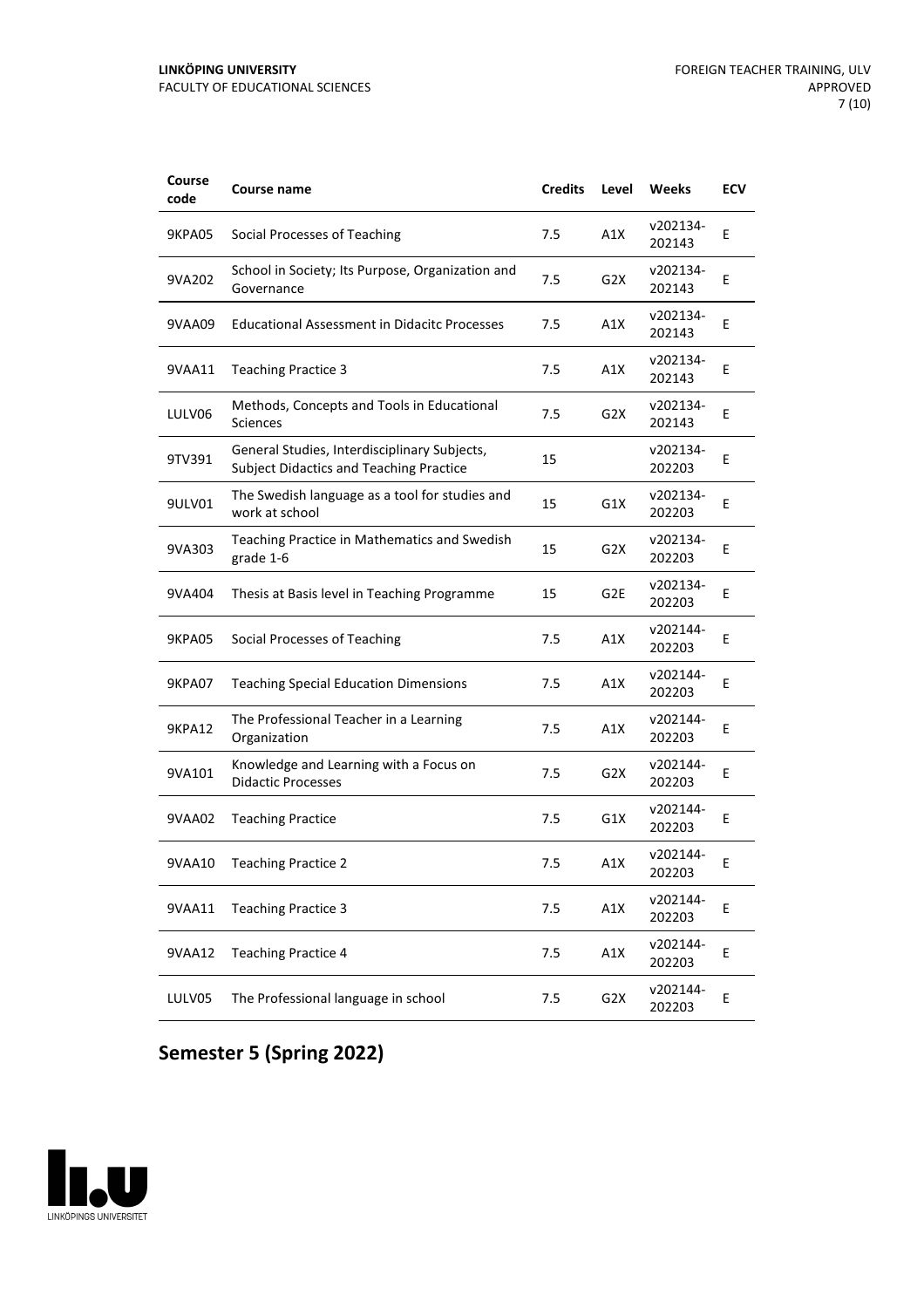| Course<br>code | Course name                                                                                    | <b>Credits</b> | Level            | Weeks              | <b>ECV</b> |
|----------------|------------------------------------------------------------------------------------------------|----------------|------------------|--------------------|------------|
| 9KPA05         | Social Processes of Teaching                                                                   | 7.5            | A1X              | v202134-<br>202143 | Ε          |
| 9VA202         | School in Society; Its Purpose, Organization and<br>Governance                                 | 7.5            | G2X              | v202134-<br>202143 | E          |
| 9VAA09         | <b>Educational Assessment in Didacitc Processes</b>                                            | 7.5            | A1X              | v202134-<br>202143 | E          |
| 9VAA11         | <b>Teaching Practice 3</b>                                                                     | 7.5            | A1X              | v202134-<br>202143 | E          |
| LULV06         | Methods, Concepts and Tools in Educational<br>Sciences                                         | 7.5            | G2X              | v202134-<br>202143 | Ε          |
| 9TV391         | General Studies, Interdisciplinary Subjects,<br><b>Subject Didactics and Teaching Practice</b> | 15             |                  | v202134-<br>202203 | E          |
| 9ULV01         | The Swedish language as a tool for studies and<br>work at school                               | 15             | G1X              | v202134-<br>202203 | E          |
| 9VA303         | Teaching Practice in Mathematics and Swedish<br>grade 1-6                                      | 15             | G <sub>2</sub> X | v202134-<br>202203 | Ε          |
| 9VA404         | Thesis at Basis level in Teaching Programme                                                    | 15             | G2E              | v202134-<br>202203 | E          |
| <b>9KPA05</b>  | Social Processes of Teaching                                                                   | 7.5            | A1X              | v202144-<br>202203 | E          |
| 9KPA07         | <b>Teaching Special Education Dimensions</b>                                                   | 7.5            | A1X              | v202144-<br>202203 | E          |
| 9KPA12         | The Professional Teacher in a Learning<br>Organization                                         | 7.5            | A1X              | v202144-<br>202203 | Ε          |
| 9VA101         | Knowledge and Learning with a Focus on<br><b>Didactic Processes</b>                            | 7.5            | G2X              | v202144-<br>202203 | Е          |
| 9VAA02         | <b>Teaching Practice</b>                                                                       | 7.5            | G1X              | v202144-<br>202203 | E          |
| 9VAA10         | <b>Teaching Practice 2</b>                                                                     | 7.5            | A1X              | v202144-<br>202203 | Ε          |
| 9VAA11         | <b>Teaching Practice 3</b>                                                                     | 7.5            | A1X              | v202144-<br>202203 | Е          |
| 9VAA12         | <b>Teaching Practice 4</b>                                                                     | 7.5            | A1X              | v202144-<br>202203 | E          |
| LULV05         | The Professional language in school                                                            | 7.5            | G <sub>2</sub> X | v202144-<br>202203 | Е          |

## **Semester 5 (Spring 2022)**

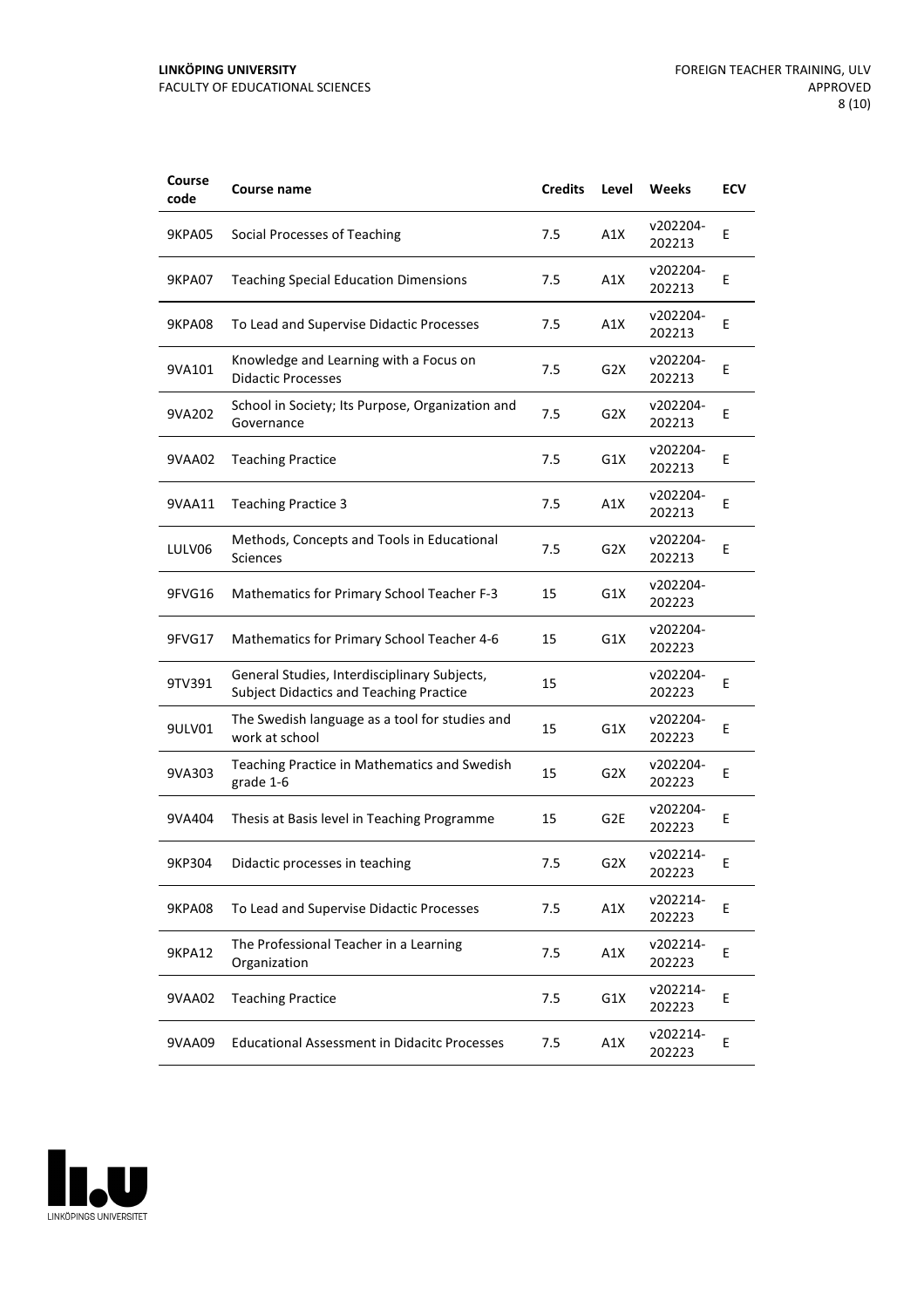| Course<br>code | <b>Course name</b>                                                                             | <b>Credits</b> | Level            | Weeks              | <b>ECV</b> |
|----------------|------------------------------------------------------------------------------------------------|----------------|------------------|--------------------|------------|
| <b>9KPA05</b>  | Social Processes of Teaching                                                                   | 7.5            | A1X              | v202204-<br>202213 | Ε          |
| 9KPA07         | <b>Teaching Special Education Dimensions</b>                                                   | 7.5            | A1X              | v202204-<br>202213 | Ε          |
| <b>9KPA08</b>  | To Lead and Supervise Didactic Processes                                                       | 7.5            | A1X              | v202204-<br>202213 | E          |
| 9VA101         | Knowledge and Learning with a Focus on<br><b>Didactic Processes</b>                            | 7.5            | G <sub>2</sub> X | v202204-<br>202213 | E          |
| 9VA202         | School in Society; Its Purpose, Organization and<br>Governance                                 | 7.5            | G2X              | v202204-<br>202213 | Ε          |
| 9VAA02         | <b>Teaching Practice</b>                                                                       | 7.5            | G1X              | v202204-<br>202213 | E          |
| 9VAA11         | <b>Teaching Practice 3</b>                                                                     | 7.5            | A1X              | v202204-<br>202213 | Ε          |
| LULV06         | Methods, Concepts and Tools in Educational<br>Sciences                                         | 7.5            | G <sub>2</sub> X | v202204-<br>202213 | Ε          |
| 9FVG16         | <b>Mathematics for Primary School Teacher F-3</b>                                              | 15             | G1X              | v202204-<br>202223 |            |
| 9FVG17         | Mathematics for Primary School Teacher 4-6                                                     | 15             | G1X              | v202204-<br>202223 |            |
| 9TV391         | General Studies, Interdisciplinary Subjects,<br><b>Subject Didactics and Teaching Practice</b> | 15             |                  | v202204-<br>202223 | E          |
| 9ULV01         | The Swedish language as a tool for studies and<br>work at school                               | 15             | G1X              | v202204-<br>202223 | Ε          |
| 9VA303         | Teaching Practice in Mathematics and Swedish<br>grade 1-6                                      | 15             | G2X              | v202204-<br>202223 | Ε          |
| 9VA404         | Thesis at Basis level in Teaching Programme                                                    | 15             | G <sub>2E</sub>  | v202204-<br>202223 | E          |
| 9KP304         | Didactic processes in teaching                                                                 | 7.5            | G <sub>2</sub> X | v202214-<br>202223 | Ε          |
| <b>9KPA08</b>  | To Lead and Supervise Didactic Processes                                                       | 7.5            | A1X              | v202214-<br>202223 | E          |
| <b>9KPA12</b>  | The Professional Teacher in a Learning<br>Organization                                         | 7.5            | A1X              | v202214-<br>202223 | E          |
| 9VAA02         | <b>Teaching Practice</b>                                                                       | 7.5            | G1X              | v202214-<br>202223 | E          |
| 9VAA09         | <b>Educational Assessment in Didacitc Processes</b>                                            | 7.5            | A1X              | v202214-<br>202223 | Е          |

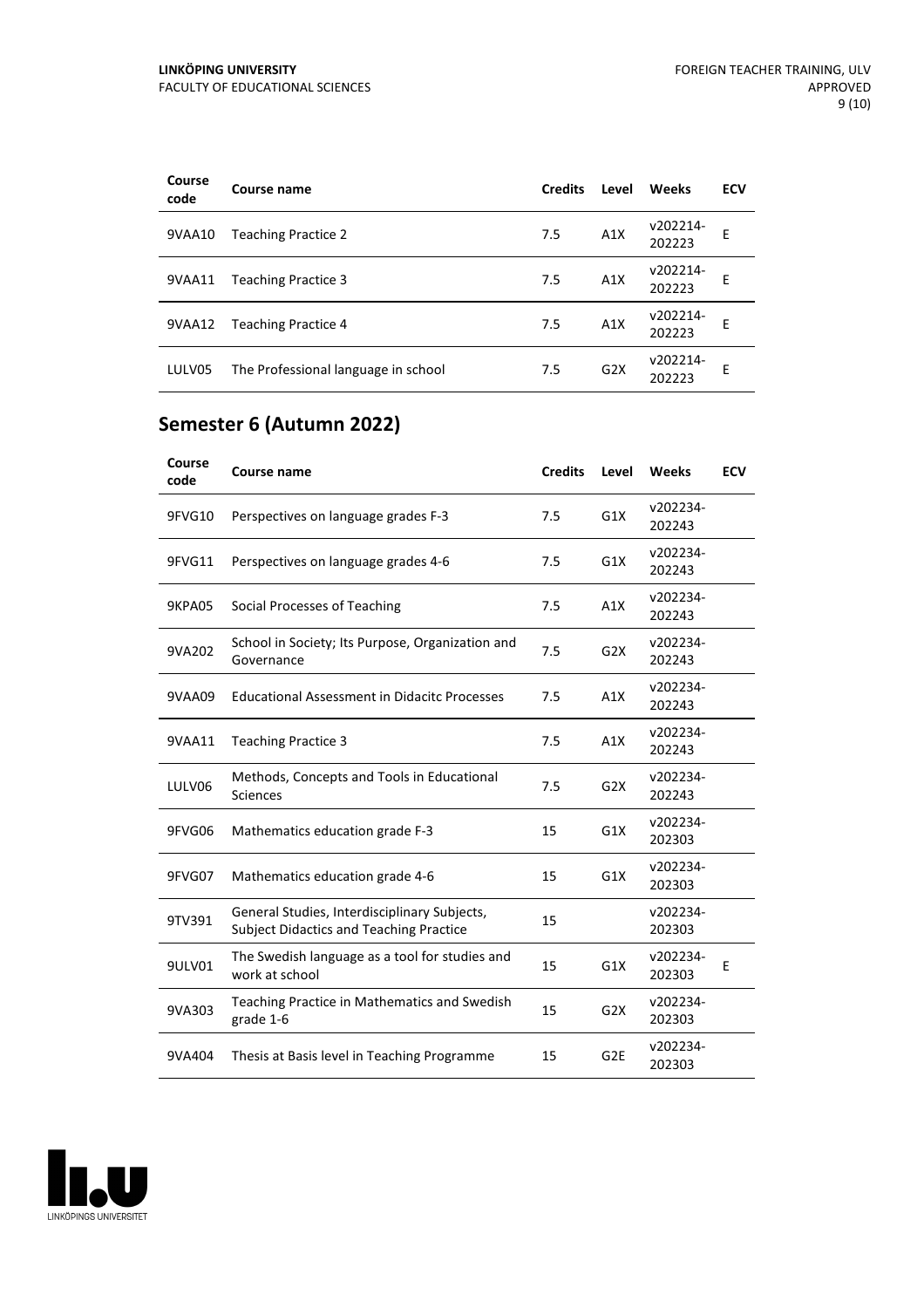| Course<br>code | Course name                         | <b>Credits</b> | Level | Weeks              | <b>ECV</b> |
|----------------|-------------------------------------|----------------|-------|--------------------|------------|
| 9VAA10         | <b>Teaching Practice 2</b>          | 7.5            | A1X   | v202214-<br>202223 | E          |
| 9VAA11         | <b>Teaching Practice 3</b>          | 7.5            | A1X   | v202214-<br>202223 | E          |
| 9VAA12         | <b>Teaching Practice 4</b>          | 7.5            | A1X   | v202214-<br>202223 | F          |
| LULV05         | The Professional language in school | 7.5            | G2X   | v202214-<br>202223 | E          |

## **Semester 6 (Autumn 2022)**

| Course<br>code | Course name                                                                                    | <b>Credits</b> | Level           | Weeks              | <b>ECV</b> |
|----------------|------------------------------------------------------------------------------------------------|----------------|-----------------|--------------------|------------|
| 9FVG10         | Perspectives on language grades F-3                                                            | 7.5            | G1X             | v202234-<br>202243 |            |
| 9FVG11         | Perspectives on language grades 4-6                                                            | 7.5            | G1X             | v202234-<br>202243 |            |
| 9KPA05         | Social Processes of Teaching                                                                   | 7.5            | A1X             | v202234-<br>202243 |            |
| 9VA202         | School in Society; Its Purpose, Organization and<br>Governance                                 | 7.5            | G2X             | v202234-<br>202243 |            |
| 9VAA09         | <b>Educational Assessment in Didacitc Processes</b>                                            | 7.5            | A1X             | v202234-<br>202243 |            |
| 9VAA11         | <b>Teaching Practice 3</b>                                                                     | 7.5            | A1X             | v202234-<br>202243 |            |
| LULV06         | Methods, Concepts and Tools in Educational<br><b>Sciences</b>                                  | 7.5            | G2X             | v202234-<br>202243 |            |
| 9FVG06         | Mathematics education grade F-3                                                                | 15             | G1X             | v202234-<br>202303 |            |
| 9FVG07         | Mathematics education grade 4-6                                                                | 15             | G1X             | v202234-<br>202303 |            |
| 9TV391         | General Studies, Interdisciplinary Subjects,<br><b>Subject Didactics and Teaching Practice</b> | 15             |                 | v202234-<br>202303 |            |
| 9ULV01         | The Swedish language as a tool for studies and<br>work at school                               | 15             | G1X             | v202234-<br>202303 | Е          |
| 9VA303         | Teaching Practice in Mathematics and Swedish<br>grade 1-6                                      | 15             | G2X             | v202234-<br>202303 |            |
| 9VA404         | Thesis at Basis level in Teaching Programme                                                    | 15             | G <sub>2E</sub> | v202234-<br>202303 |            |